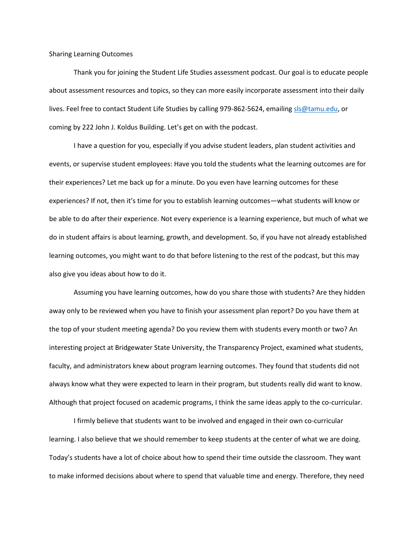Sharing Learning Outcomes

Thank you for joining the Student Life Studies assessment podcast. Our goal is to educate people about assessment resources and topics, so they can more easily incorporate assessment into their daily lives. Feel free to contact Student Life Studies by calling 979-862-5624, emailin[g sls@tamu.edu,](mailto:sls@tamu.edu) or coming by 222 John J. Koldus Building. Let's get on with the podcast.

I have a question for you, especially if you advise student leaders, plan student activities and events, or supervise student employees: Have you told the students what the learning outcomes are for their experiences? Let me back up for a minute. Do you even have learning outcomes for these experiences? If not, then it's time for you to establish learning outcomes—what students will know or be able to do after their experience. Not every experience is a learning experience, but much of what we do in student affairs is about learning, growth, and development. So, if you have not already established learning outcomes, you might want to do that before listening to the rest of the podcast, but this may also give you ideas about how to do it.

Assuming you have learning outcomes, how do you share those with students? Are they hidden away only to be reviewed when you have to finish your assessment plan report? Do you have them at the top of your student meeting agenda? Do you review them with students every month or two? An interesting project at Bridgewater State University, the Transparency Project, examined what students, faculty, and administrators knew about program learning outcomes. They found that students did not always know what they were expected to learn in their program, but students really did want to know. Although that project focused on academic programs, I think the same ideas apply to the co-curricular.

I firmly believe that students want to be involved and engaged in their own co-curricular learning. I also believe that we should remember to keep students at the center of what we are doing. Today's students have a lot of choice about how to spend their time outside the classroom. They want to make informed decisions about where to spend that valuable time and energy. Therefore, they need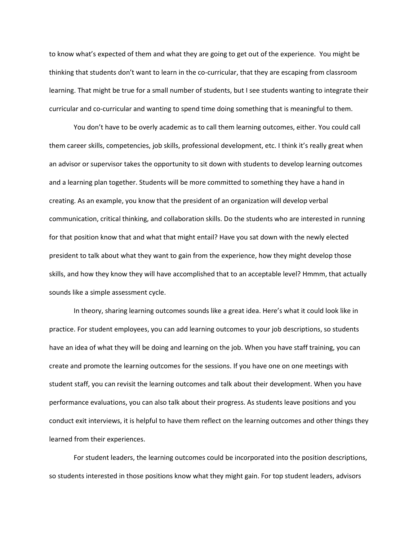to know what's expected of them and what they are going to get out of the experience. You might be thinking that students don't want to learn in the co-curricular, that they are escaping from classroom learning. That might be true for a small number of students, but I see students wanting to integrate their curricular and co-curricular and wanting to spend time doing something that is meaningful to them.

You don't have to be overly academic as to call them learning outcomes, either. You could call them career skills, competencies, job skills, professional development, etc. I think it's really great when an advisor or supervisor takes the opportunity to sit down with students to develop learning outcomes and a learning plan together. Students will be more committed to something they have a hand in creating. As an example, you know that the president of an organization will develop verbal communication, critical thinking, and collaboration skills. Do the students who are interested in running for that position know that and what that might entail? Have you sat down with the newly elected president to talk about what they want to gain from the experience, how they might develop those skills, and how they know they will have accomplished that to an acceptable level? Hmmm, that actually sounds like a simple assessment cycle.

In theory, sharing learning outcomes sounds like a great idea. Here's what it could look like in practice. For student employees, you can add learning outcomes to your job descriptions, so students have an idea of what they will be doing and learning on the job. When you have staff training, you can create and promote the learning outcomes for the sessions. If you have one on one meetings with student staff, you can revisit the learning outcomes and talk about their development. When you have performance evaluations, you can also talk about their progress. As students leave positions and you conduct exit interviews, it is helpful to have them reflect on the learning outcomes and other things they learned from their experiences.

For student leaders, the learning outcomes could be incorporated into the position descriptions, so students interested in those positions know what they might gain. For top student leaders, advisors